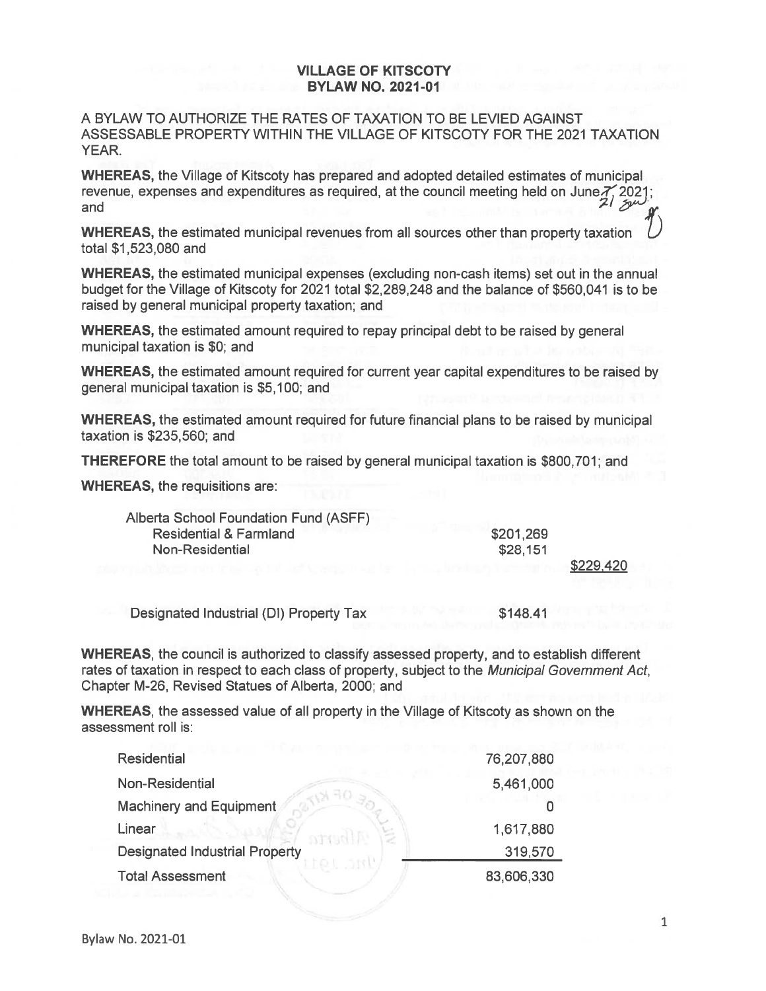## VILLAGE OF KITSCOTY BYLAW NO. 2021-01

A BYLAW TO AUTHORIZE THE RATES OF TAXATION TO BE LEVIED AGAINST ASSESSABLE PROPERTY WITHIN THE VILLAGE OF KITSCOTY FOR THE 2021 TAXATION YEAR.

WHEREAS, the Village of Kitscoty has prepared and adopted detailed estimates of municipal revenue, expenses and expenditures as required, at the council meeting held on June  $\frac{7}{2}$ , 2021; and

WHEREAS, the estimated municipal revenues from all sources other than property taxation total \$1,523,080 and

WHEREAS, the estimated municipal expenses (excluding non-cash items) set out in the annual budget for the Village of Kitscoty for 2021 total \$2,289,248 and the balance of \$560,041 is to be raised by general municipal property taxation; and

WHEREAS, the estimated amount required to repay principal debt to be raised by general municipal taxation is \$0; and

WHEREAS, the estimated amount required for current year capital expenditures to be raised by general municipal taxation is \$5,100; and

WHEREAS, the estimated amount required for future financial plans to be raised by municipal taxation is \$235,560; and

THEREFORE the total amount to be raised by general municipal taxation is \$800,701; and

WHEREAS, the requisitions are:

| Alberta School Foundation Fund (ASFF)   |           |           |
|-----------------------------------------|-----------|-----------|
| <b>Residential &amp; Farmland</b>       | \$201,269 |           |
| <b>Non-Residential</b>                  | \$28,151  |           |
|                                         |           | \$229,420 |
|                                         |           |           |
| Designated Industrial (DI) Property Tax | \$148.41  |           |

WHEREAS, the council is authorized to classify assessed property, and to establish different rates of taxation in respect to each class of property, subject to the Municipal Government Act, Chapter M-26, Revised Statues of Alberta, 2000; and

WHEREAS, the assessed value of all property in the Village of Kitscoty as shown on the assessment roll is:

| <b>Residential</b>                    | 76,207,880 |
|---------------------------------------|------------|
| Non-Residential                       | 5,461,000  |
| <b>Machinery and Equipment</b>        |            |
| Linear<br><b>INTS</b>                 | 1,617,880  |
| <b>Designated Industrial Property</b> | 319,570    |
| <b>Total Assessment</b>               | 83,606,330 |
|                                       |            |